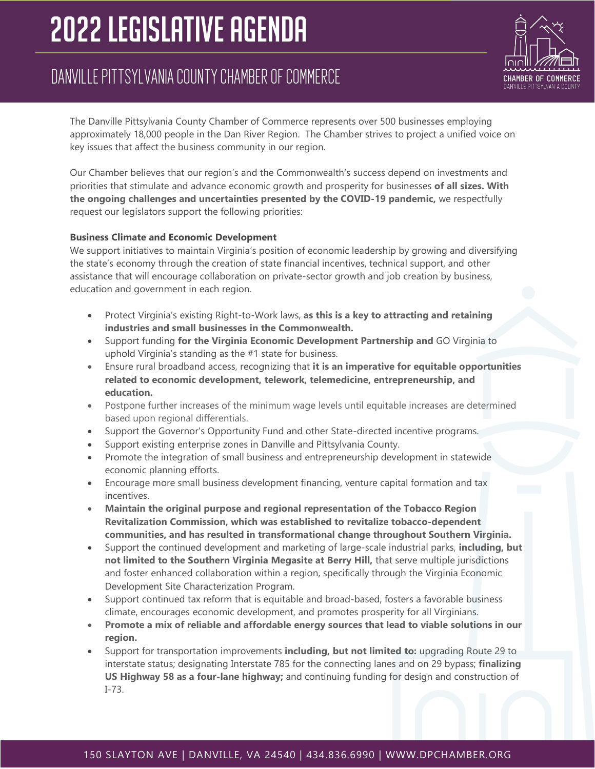# **2022 LEGISLATIVE AGENDA**

# DANVILLE PITTSYLVANIA COUNTY CHAMBER OF COMMERCE



The Danville Pittsylvania County Chamber of Commerce represents over 500 businesses employing approximately 18,000 people in the Dan River Region. The Chamber strives to project a unified voice on key issues that affect the business community in our region.

Our Chamber believes that our region's and the Commonwealth's success depend on investments and priorities that stimulate and advance economic growth and prosperity for businesses **of all sizes. With the ongoing challenges and uncertainties presented by the COVID-19 pandemic,** we respectfully request our legislators support the following priorities:

## **Business Climate and Economic Development**

We support initiatives to maintain Virginia's position of economic leadership by growing and diversifying the state's economy through the creation of state financial incentives, technical support, and other assistance that will encourage collaboration on private-sector growth and job creation by business, education and government in each region.

- Protect Virginia's existing Right-to-Work laws, **as this is a key to attracting and retaining industries and small businesses in the Commonwealth.**
- Support funding **for the Virginia Economic Development Partnership and** GO Virginia to uphold Virginia's standing as the #1 state for business.
- Ensure rural broadband access, recognizing that **it is an imperative for equitable opportunities related to economic development, telework, telemedicine, entrepreneurship, and education.**
- Postpone further increases of the minimum wage levels until equitable increases are determined based upon regional differentials.
- Support the Governor's Opportunity Fund and other State-directed incentive programs.
- Support existing enterprise zones in Danville and Pittsylvania County.
- Promote the integration of small business and entrepreneurship development in statewide economic planning efforts.
- Encourage more small business development financing, venture capital formation and tax incentives.
- **Maintain the original purpose and regional representation of the Tobacco Region Revitalization Commission, which was established to revitalize tobacco-dependent communities, and has resulted in transformational change throughout Southern Virginia.**
- Support the continued development and marketing of large-scale industrial parks, **including, but not limited to the Southern Virginia Megasite at Berry Hill,** that serve multiple jurisdictions and foster enhanced collaboration within a region, specifically through the Virginia Economic Development Site Characterization Program.
- Support continued tax reform that is equitable and broad-based, fosters a favorable business climate, encourages economic development, and promotes prosperity for all Virginians.
- **Promote a mix of reliable and affordable energy sources that lead to viable solutions in our region.**
- Support for transportation improvements **including, but not limited to:** upgrading Route 29 to interstate status; designating Interstate 785 for the connecting lanes and on 29 bypass; **finalizing US Highway 58 as a four-lane highway;** and continuing funding for design and construction of I-73.